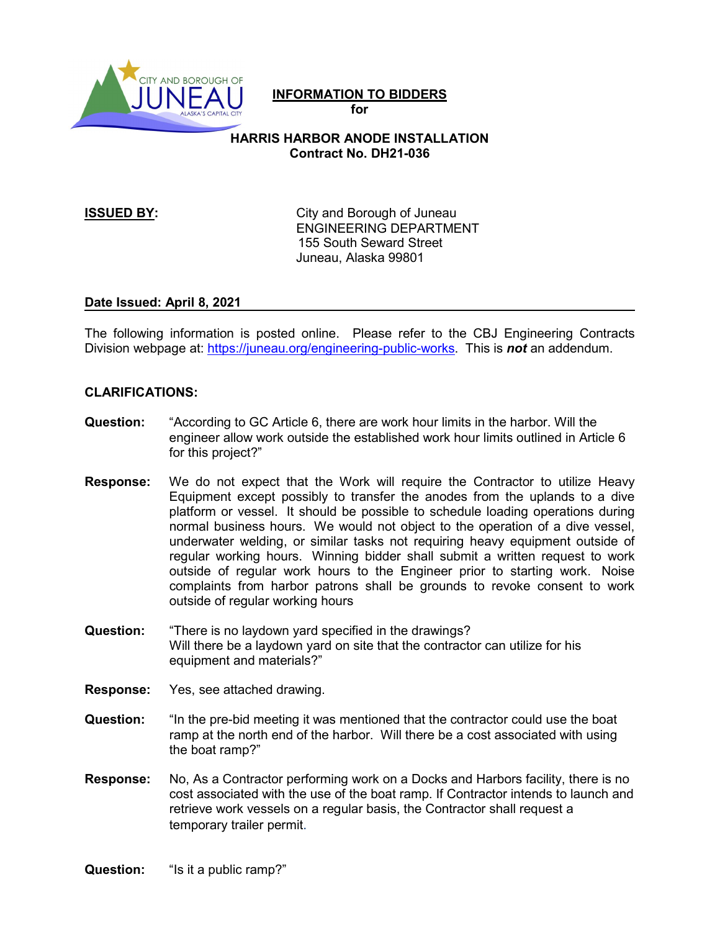

# **INFORMATION TO BIDDERS**

**for** 

# **HARRIS HARBOR ANODE INSTALLATION Contract No. DH21-036**

**ISSUED BY:** City and Borough of Juneau ENGINEERING DEPARTMENT 155 South Seward Street Juneau, Alaska 99801

### **Date Issued: April 8, 2021**

The following information is posted online. Please refer to the CBJ Engineering Contracts Division webpage at: [https://juneau.org/engineering-public-works.](https://juneau.org/engineering-public-works) This is *not* an addendum.

## **CLARIFICATIONS:**

- **Question:** "According to GC Article 6, there are work hour limits in the harbor. Will the engineer allow work outside the established work hour limits outlined in Article 6 for this project?"
- **Response:** We do not expect that the Work will require the Contractor to utilize Heavy Equipment except possibly to transfer the anodes from the uplands to a dive platform or vessel. It should be possible to schedule loading operations during normal business hours. We would not object to the operation of a dive vessel, underwater welding, or similar tasks not requiring heavy equipment outside of regular working hours. Winning bidder shall submit a written request to work outside of regular work hours to the Engineer prior to starting work. Noise complaints from harbor patrons shall be grounds to revoke consent to work outside of regular working hours
- **Question:** "There is no laydown yard specified in the drawings? Will there be a laydown yard on site that the contractor can utilize for his equipment and materials?"
- **Response:** Yes, see attached drawing.
- **Question:** "In the pre-bid meeting it was mentioned that the contractor could use the boat ramp at the north end of the harbor. Will there be a cost associated with using the boat ramp?"
- **Response:** No, As a Contractor performing work on a Docks and Harbors facility, there is no cost associated with the use of the boat ramp. If Contractor intends to launch and retrieve work vessels on a regular basis, the Contractor shall request a temporary trailer permit.

**Question:** "Is it a public ramp?"